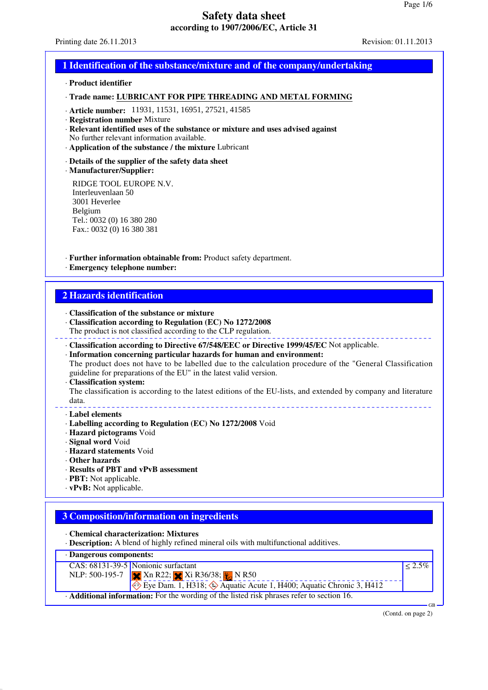Printing date 26.11.2013 Revision: 01.11.2013

### **1 Identification of the substance/mixture and of the company/undertaking**

#### · **Product identifier**

#### · **Trade name: LUBRICANT FOR PIPE THREADING AND METAL FORMING**

- · **Article number:** 11931, 11531, 16951, 27521, 41585
- · **Registration number** Mixture
- · **Relevant identified uses of the substance or mixture and uses advised against** No further relevant information available.
- · **Application of the substance / the mixture** Lubricant

#### · **Details of the supplier of the safety data sheet**

· **Manufacturer/Supplier:**

RIDGE TOOL EUROPE N.V. Interleuvenlaan 50 3001 Heverlee Belgium Tel.: 0032 (0) 16 380 280 Fax.: 0032 (0) 16 380 381

· **Further information obtainable from:** Product safety department.

· **Emergency telephone number:**

### **2 Hazards identification**

- · **Classification of the substance or mixture**
- · **Classification according to Regulation (EC) No 1272/2008**
- The product is not classified according to the CLP regulation.
- · **Classification according to Directive 67/548/EEC or Directive 1999/45/EC** Not applicable.
- · **Information concerning particular hazards for human and environment:** The product does not have to be labelled due to the calculation procedure of the "General Classification guideline for preparations of the EU" in the latest valid version.

#### · **Classification system:**

The classification is according to the latest editions of the EU-lists, and extended by company and literature data. 

#### · **Label elements**

- · **Labelling according to Regulation (EC) No 1272/2008** Void
- · **Hazard pictograms** Void
- · **Signal word** Void
- · **Hazard statements** Void
- · **Other hazards**
- · **Results of PBT and vPvB assessment**
- · **PBT:** Not applicable.
- · **vPvB:** Not applicable.

# **3 Composition/information on ingredients**

· **Chemical characterization: Mixtures**

· **Description:** A blend of highly refined mineral oils with multifunctional additives.



(Contd. on page 2)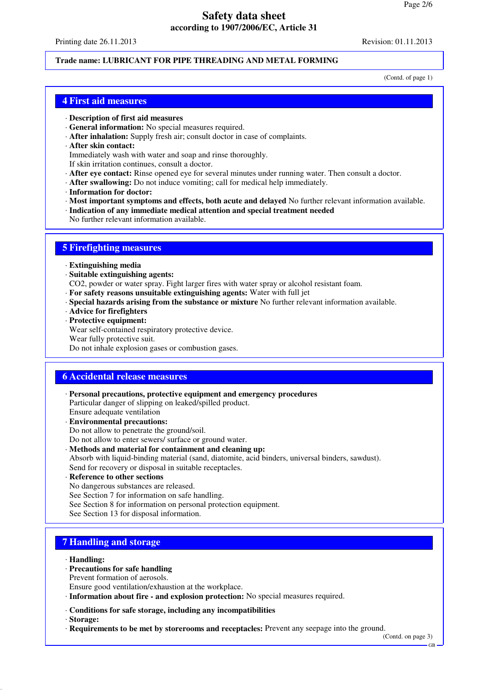Printing date 26.11.2013 Revision: 01.11.2013

### **Trade name: LUBRICANT FOR PIPE THREADING AND METAL FORMING**

(Contd. of page 1)

### **4 First aid measures**

- · **Description of first aid measures**
- · **General information:** No special measures required.
- · **After inhalation:** Supply fresh air; consult doctor in case of complaints.
- · **After skin contact:**
- Immediately wash with water and soap and rinse thoroughly.
- If skin irritation continues, consult a doctor.
- · **After eye contact:** Rinse opened eye for several minutes under running water. Then consult a doctor.
- · **After swallowing:** Do not induce vomiting; call for medical help immediately.
- · **Information for doctor:**
- · **Most important symptoms and effects, both acute and delayed** No further relevant information available.
- · **Indication of any immediate medical attention and special treatment needed**
- No further relevant information available.

## **5 Firefighting measures**

- · **Extinguishing media**
- · **Suitable extinguishing agents:**
- CO2, powder or water spray. Fight larger fires with water spray or alcohol resistant foam.
- · **For safety reasons unsuitable extinguishing agents:** Water with full jet
- · **Special hazards arising from the substance or mixture** No further relevant information available.
- · **Advice for firefighters**
- · **Protective equipment:**

Wear self-contained respiratory protective device. Wear fully protective suit.

Do not inhale explosion gases or combustion gases.

# **6 Accidental release measures**

- · **Personal precautions, protective equipment and emergency procedures** Particular danger of slipping on leaked/spilled product. Ensure adequate ventilation
- · **Environmental precautions:** Do not allow to penetrate the ground/soil.
- Do not allow to enter sewers/ surface or ground water.
- · **Methods and material for containment and cleaning up:** Absorb with liquid-binding material (sand, diatomite, acid binders, universal binders, sawdust). Send for recovery or disposal in suitable receptacles.
- · **Reference to other sections**
- No dangerous substances are released.
- See Section 7 for information on safe handling.
- See Section 8 for information on personal protection equipment.
- See Section 13 for disposal information.

# **7 Handling and storage**

- · **Handling:**
- · **Precautions for safe handling**
- Prevent formation of aerosols.
- Ensure good ventilation/exhaustion at the workplace.
- · **Information about fire and explosion protection:** No special measures required.
- · **Conditions for safe storage, including any incompatibilities**
- · **Storage:**
- · **Requirements to be met by storerooms and receptacles:** Prevent any seepage into the ground.

(Contd. on page 3)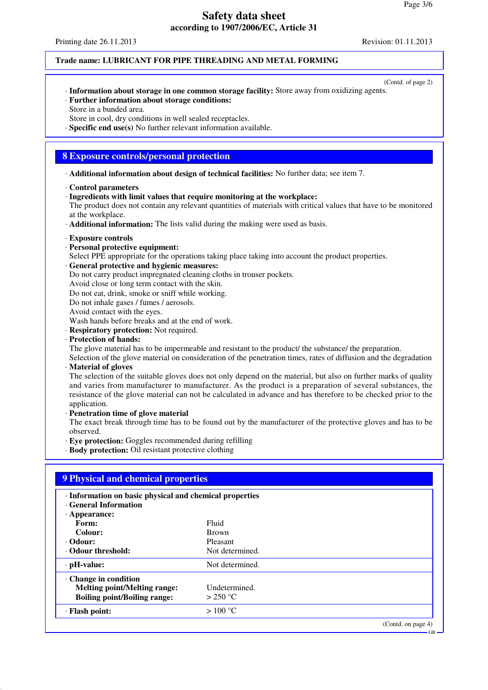Printing date 26.11.2013 Revision: 01.11.2013

### **Trade name: LUBRICANT FOR PIPE THREADING AND METAL FORMING**

- (Contd. of page 2) · **Information about storage in one common storage facility:** Store away from oxidizing agents.
- · **Further information about storage conditions:** Store in a bunded area.
- Store in cool, dry conditions in well sealed receptacles.
- · **Specific end use(s)** No further relevant information available.

## **8 Exposure controls/personal protection**

- · **Additional information about design of technical facilities:** No further data; see item 7.
- · **Control parameters**
- · **Ingredients with limit values that require monitoring at the workplace:**

The product does not contain any relevant quantities of materials with critical values that have to be monitored at the workplace.

- · **Additional information:** The lists valid during the making were used as basis.
- · **Exposure controls**
- · **Personal protective equipment:**
- Select PPE appropriate for the operations taking place taking into account the product properties.
- · **General protective and hygienic measures:**
- Do not carry product impregnated cleaning cloths in trouser pockets.
- Avoid close or long term contact with the skin.
- Do not eat, drink, smoke or sniff while working.
- Do not inhale gases / fumes / aerosols.
- Avoid contact with the eyes.
- Wash hands before breaks and at the end of work.
- · **Respiratory protection:** Not required.
- · **Protection of hands:**
- The glove material has to be impermeable and resistant to the product/ the substance/ the preparation.
- Selection of the glove material on consideration of the penetration times, rates of diffusion and the degradation · **Material of gloves**

The selection of the suitable gloves does not only depend on the material, but also on further marks of quality and varies from manufacturer to manufacturer. As the product is a preparation of several substances, the resistance of the glove material can not be calculated in advance and has therefore to be checked prior to the application.

- · **Penetration time of glove material**
- The exact break through time has to be found out by the manufacturer of the protective gloves and has to be observed.
- · **Eye protection:** Goggles recommended during refilling
- · **Body protection:** Oil resistant protective clothing

| · Information on basic physical and chemical properties<br>· General Information |                  |  |
|----------------------------------------------------------------------------------|------------------|--|
| $\cdot$ Appearance:                                                              |                  |  |
| Form:                                                                            | Fluid            |  |
| Colour:                                                                          | <b>Brown</b>     |  |
| · Odour:                                                                         | Pleasant         |  |
| Odour threshold:                                                                 | Not determined.  |  |
| $\cdot$ pH-value:                                                                | Not determined.  |  |
| Change in condition                                                              |                  |  |
| <b>Melting point/Melting range:</b>                                              | Undetermined.    |  |
| <b>Boiling point/Boiling range:</b>                                              | $>$ 250 °C       |  |
| · Flash point:                                                                   | $>100\text{ °C}$ |  |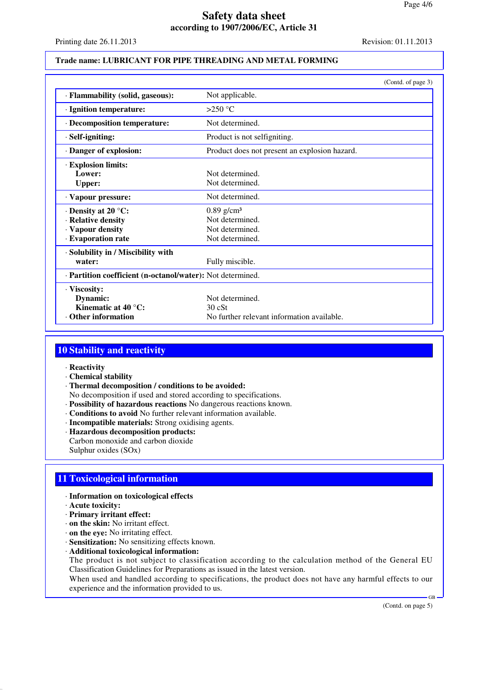Printing date 26.11.2013 Revision: 01.11.2013

#### **Trade name: LUBRICANT FOR PIPE THREADING AND METAL FORMING**

|                                                                                           | (Contd. of page 3)                                                                |
|-------------------------------------------------------------------------------------------|-----------------------------------------------------------------------------------|
| · Flammability (solid, gaseous):                                                          | Not applicable.                                                                   |
| · Ignition temperature:                                                                   | $>250$ °C                                                                         |
| · Decomposition temperature:                                                              | Not determined.                                                                   |
| · Self-igniting:                                                                          | Product is not selfigniting.                                                      |
| Danger of explosion:                                                                      | Product does not present an explosion hazard.                                     |
| · Explosion limits:<br>Lower:<br><b>Upper:</b>                                            | Not determined.<br>Not determined.                                                |
| · Vapour pressure:                                                                        | Not determined.                                                                   |
| $\cdot$ Density at 20 °C:<br>· Relative density<br>· Vapour density<br>· Evaporation rate | $0.89$ g/cm <sup>3</sup><br>Not determined.<br>Not determined.<br>Not determined. |
| · Solubility in / Miscibility with<br>water:                                              | Fully miscible.                                                                   |
| · Partition coefficient (n-octanol/water): Not determined.                                |                                                                                   |
| · Viscosity:<br>Dynamic:<br>Kinematic at $40^{\circ}$ C:<br><b>Other information</b>      | Not determined.<br>30cSt<br>No further relevant information available.            |

# **10 Stability and reactivity**

#### · **Reactivity**

- · **Chemical stability**
- · **Thermal decomposition / conditions to be avoided:**

No decomposition if used and stored according to specifications.

- · **Possibility of hazardous reactions** No dangerous reactions known.
- · **Conditions to avoid** No further relevant information available.
- · **Incompatible materials:** Strong oxidising agents.
- · **Hazardous decomposition products:** Carbon monoxide and carbon dioxide Sulphur oxides (SOx)

## **11 Toxicological information**

- · **Information on toxicological effects**
- · **Acute toxicity:**
- · **Primary irritant effect:**
- · **on the skin:** No irritant effect.
- · **on the eye:** No irritating effect.
- · **Sensitization:** No sensitizing effects known.
- · **Additional toxicological information:**

The product is not subject to classification according to the calculation method of the General EU Classification Guidelines for Preparations as issued in the latest version.

When used and handled according to specifications, the product does not have any harmful effects to our experience and the information provided to us.

(Contd. on page 5)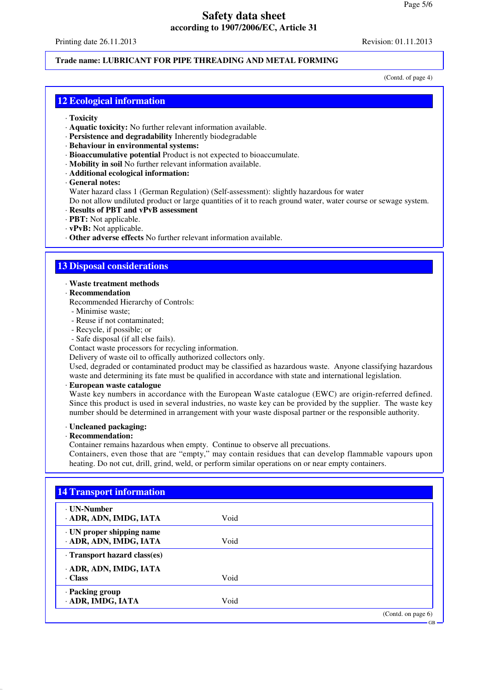Printing date 26.11.2013 Revision: 01.11.2013

## **Trade name: LUBRICANT FOR PIPE THREADING AND METAL FORMING**

(Contd. of page 4)

## **12 Ecological information**

- · **Toxicity**
- · **Aquatic toxicity:** No further relevant information available.
- · **Persistence and degradability** Inherently biodegradable
- · **Behaviour in environmental systems:**
- · **Bioaccumulative potential** Product is not expected to bioaccumulate.
- · **Mobility in soil** No further relevant information available.
- · **Additional ecological information:**
- · **General notes:**

Water hazard class 1 (German Regulation) (Self-assessment): slightly hazardous for water

Do not allow undiluted product or large quantities of it to reach ground water, water course or sewage system.

- · **Results of PBT and vPvB assessment**
- · **PBT:** Not applicable.
- · **vPvB:** Not applicable.
- · **Other adverse effects** No further relevant information available.

## **13 Disposal considerations**

#### · **Waste treatment methods**

- · **Recommendation**
- Recommended Hierarchy of Controls:
- Minimise waste;
- Reuse if not contaminated;
- Recycle, if possible; or
- Safe disposal (if all else fails).
- Contact waste processors for recycling information.

Delivery of waste oil to offically authorized collectors only.

Used, degraded or contaminated product may be classified as hazardous waste. Anyone classifying hazardous waste and determining its fate must be qualified in accordance with state and international legislation.

#### · **European waste catalogue**

Waste key numbers in accordance with the European Waste catalogue (EWC) are origin-referred defined. Since this product is used in several industries, no waste key can be provided by the supplier. The waste key number should be determined in arrangement with your waste disposal partner or the responsible authority.

#### · **Uncleaned packaging:**

#### · **Recommendation:**

Container remains hazardous when empty. Continue to observe all precuations.

Containers, even those that are "empty," may contain residues that can develop flammable vapours upon heating. Do not cut, drill, grind, weld, or perform similar operations on or near empty containers.

| <b>· UN-Number</b>         |      |  |
|----------------------------|------|--|
| ADR, ADN, IMDG, IATA       | Void |  |
| · UN proper shipping name  |      |  |
| · ADR, ADN, IMDG, IATA     | Void |  |
| Transport hazard class(es) |      |  |
| ADR, ADN, IMDG, IATA       |      |  |
| · Class                    | Void |  |
| · Packing group            |      |  |
| · ADR, IMDG, IATA          | Void |  |